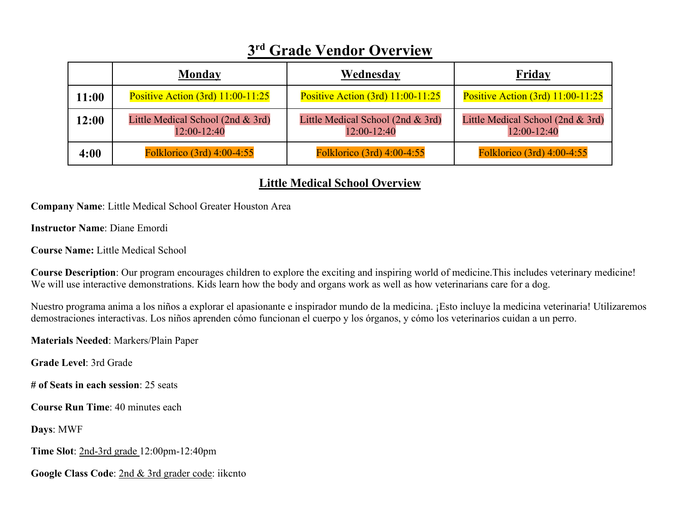# **3rd Grade Vendor Overview**

|       | Monday                                           | Wednesday                                           | Friday                                           |
|-------|--------------------------------------------------|-----------------------------------------------------|--------------------------------------------------|
| 11:00 | Positive Action (3rd) 11:00-11:25                | Positive Action $(3rd)$ 11:00-11:25                 | Positive Action $(3rd)$ 11:00-11:25              |
| 12:00 | Little Medical School (2nd & 3rd)<br>12:00-12:40 | Little Medical School (2nd $& 3rd$ )<br>12:00-12:40 | Little Medical School (2nd & 3rd)<br>12:00-12:40 |
| 4:00  | Folklorico (3rd) 4:00-4:55                       | Folklorico (3rd) 4:00-4:55                          | Folklorico (3rd) 4:00-4:55                       |

## **Little Medical School Overview**

**Company Name**: Little Medical School Greater Houston Area

**Instructor Name**: Diane Emordi

**Course Name:** Little Medical School

**Course Description**: Our program encourages children to explore the exciting and inspiring world of medicine.This includes veterinary medicine! We will use interactive demonstrations. Kids learn how the body and organs work as well as how veterinarians care for a dog.

Nuestro programa anima a los niños a explorar el apasionante e inspirador mundo de la medicina. ¡Esto incluye la medicina veterinaria! Utilizaremos demostraciones interactivas. Los niños aprenden cómo funcionan el cuerpo y los órganos, y cómo los veterinarios cuidan a un perro.

**Materials Needed**: Markers/Plain Paper

**Grade Level**: 3rd Grade

**# of Seats in each session**: 25 seats

**Course Run Time**: 40 minutes each

**Days**: MWF

**Time Slot**: 2nd-3rd grade 12:00pm-12:40pm

**Google Class Code**: 2nd & 3rd grader code: iikcnto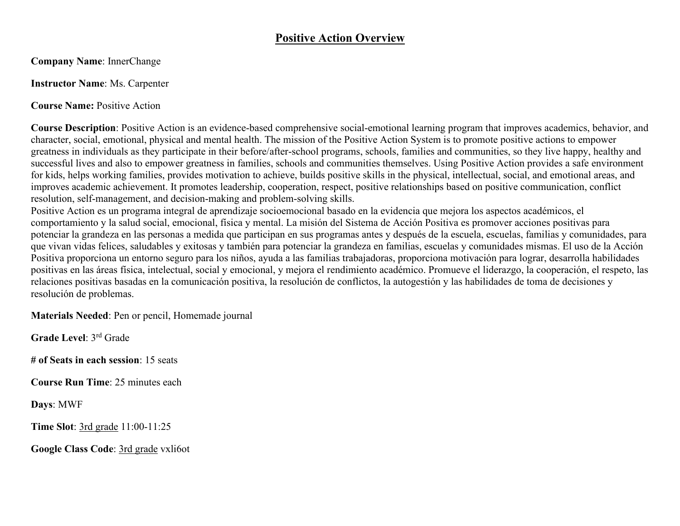#### **Positive Action Overview**

**Company Name**: InnerChange

#### **Instructor Name**: Ms. Carpenter

**Course Name:** Positive Action

**Course Description**: Positive Action is an evidence-based comprehensive social-emotional learning program that improves academics, behavior, and character, social, emotional, physical and mental health. The mission of the Positive Action System is to promote positive actions to empower greatness in individuals as they participate in their before/after-school programs, schools, families and communities, so they live happy, healthy and successful lives and also to empower greatness in families, schools and communities themselves. Using Positive Action provides a safe environment for kids, helps working families, provides motivation to achieve, builds positive skills in the physical, intellectual, social, and emotional areas, and improves academic achievement. It promotes leadership, cooperation, respect, positive relationships based on positive communication, conflict resolution, self-management, and decision-making and problem-solving skills.

Positive Action es un programa integral de aprendizaje socioemocional basado en la evidencia que mejora los aspectos académicos, el comportamiento y la salud social, emocional, física y mental. La misión del Sistema de Acción Positiva es promover acciones positivas para potenciar la grandeza en las personas a medida que participan en sus programas antes y después de la escuela, escuelas, familias y comunidades, para que vivan vidas felices, saludables y exitosas y también para potenciar la grandeza en familias, escuelas y comunidades mismas. El uso de la Acción Positiva proporciona un entorno seguro para los niños, ayuda a las familias trabajadoras, proporciona motivación para lograr, desarrolla habilidades positivas en las áreas física, intelectual, social y emocional, y mejora el rendimiento académico. Promueve el liderazgo, la cooperación, el respeto, las relaciones positivas basadas en la comunicación positiva, la resolución de conflictos, la autogestión y las habilidades de toma de decisiones y resolución de problemas.

**Materials Needed**: Pen or pencil, Homemade journal

**Grade Level**: 3rd Grade

**# of Seats in each session**: 15 seats

**Course Run Time**: 25 minutes each

**Days**: MWF

**Time Slot**: 3rd grade 11:00-11:25

**Google Class Code**: 3rd grade vxli6ot